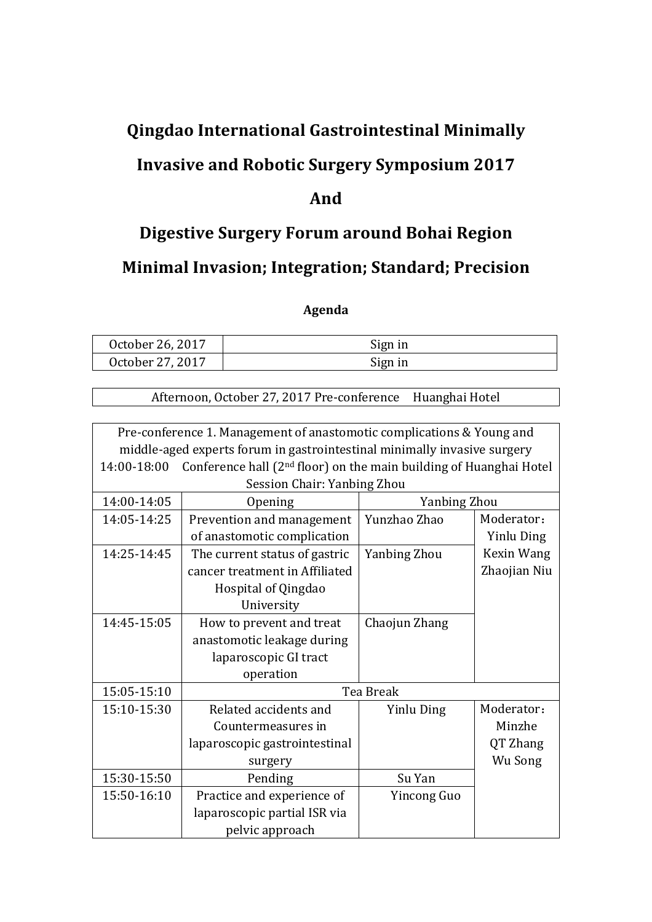# **Qingdao(International(Gastrointestinal(Minimally(**

# **Invasive and Robotic Surgery Symposium 2017**

### **And(**

## **Digestive Surgery Forum around Bohai Region**

### **Minimal Invasion; Integration; Standard; Precision**

#### **Agenda**

| October 26, 2017 | Sign in |
|------------------|---------|
| October 27, 2017 | Sign in |

Afternoon, October 27, 2017 Pre-conference Huanghai Hotel

| Pre-conference 1. Management of anastomotic complications & Young and    |                                                                                |                   |                   |  |
|--------------------------------------------------------------------------|--------------------------------------------------------------------------------|-------------------|-------------------|--|
| middle-aged experts forum in gastrointestinal minimally invasive surgery |                                                                                |                   |                   |  |
| 14:00-18:00                                                              | Conference hall (2 <sup>nd</sup> floor) on the main building of Huanghai Hotel |                   |                   |  |
|                                                                          | Session Chair: Yanbing Zhou                                                    |                   |                   |  |
| 14:00-14:05                                                              | Opening                                                                        | Yanbing Zhou      |                   |  |
| 14:05-14:25                                                              | Prevention and management                                                      | Yunzhao Zhao      | Moderator:        |  |
|                                                                          | of anastomotic complication                                                    |                   | <b>Yinlu Ding</b> |  |
| 14:25-14:45                                                              | The current status of gastric                                                  | Yanbing Zhou      | Kexin Wang        |  |
|                                                                          | cancer treatment in Affiliated                                                 |                   | Zhaojian Niu      |  |
|                                                                          | Hospital of Qingdao                                                            |                   |                   |  |
|                                                                          | University                                                                     |                   |                   |  |
| 14:45-15:05                                                              | How to prevent and treat                                                       | Chaojun Zhang     |                   |  |
|                                                                          | anastomotic leakage during                                                     |                   |                   |  |
|                                                                          | laparoscopic GI tract                                                          |                   |                   |  |
|                                                                          | operation                                                                      |                   |                   |  |
| 15:05-15:10                                                              | Tea Break                                                                      |                   |                   |  |
| 15:10-15:30                                                              | Related accidents and                                                          | <b>Yinlu Ding</b> | Moderator:        |  |
|                                                                          | Countermeasures in                                                             |                   | Minzhe            |  |
|                                                                          | laparoscopic gastrointestinal                                                  |                   | QT Zhang          |  |
|                                                                          | surgery                                                                        |                   | Wu Song           |  |
| 15:30-15:50                                                              | Pending                                                                        | Su Yan            |                   |  |
| 15:50-16:10                                                              | Practice and experience of                                                     | Yincong Guo       |                   |  |
|                                                                          | laparoscopic partial ISR via                                                   |                   |                   |  |
|                                                                          | pelvic approach                                                                |                   |                   |  |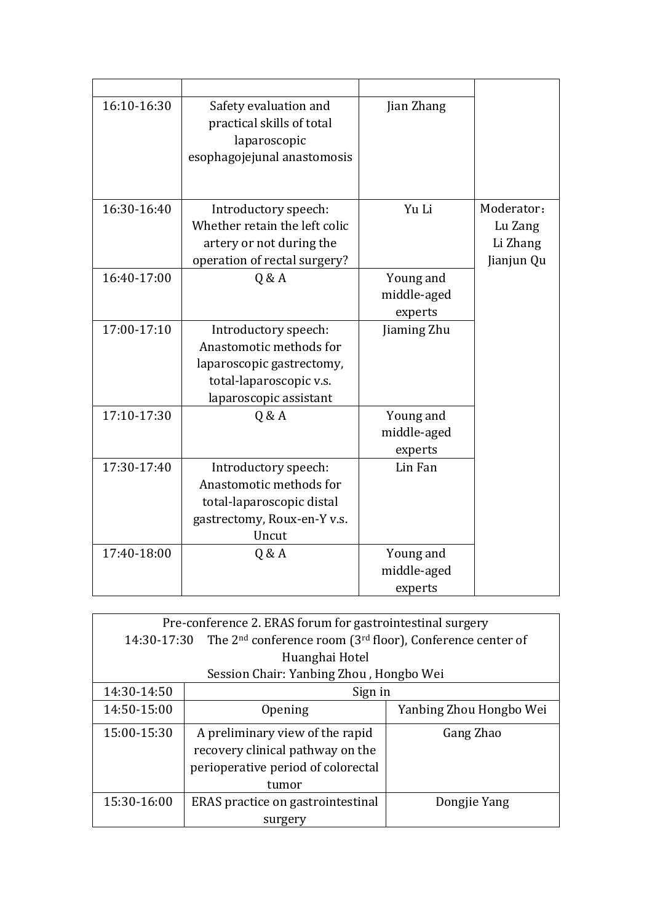| 16:10-16:30 | Safety evaluation and<br>practical skills of total<br>laparoscopic<br>esophagojejunal anastomosis | Jian Zhang               |            |
|-------------|---------------------------------------------------------------------------------------------------|--------------------------|------------|
| 16:30-16:40 | Introductory speech:                                                                              | Yu Li                    | Moderator: |
|             | Whether retain the left colic                                                                     |                          | Lu Zang    |
|             | artery or not during the                                                                          |                          | Li Zhang   |
|             | operation of rectal surgery?                                                                      |                          | Jianjun Qu |
| 16:40-17:00 | Q & A                                                                                             | Young and                |            |
|             |                                                                                                   | middle-aged              |            |
|             |                                                                                                   | experts                  |            |
| 17:00-17:10 | Introductory speech:                                                                              | Jiaming Zhu              |            |
|             | Anastomotic methods for                                                                           |                          |            |
|             | laparoscopic gastrectomy,                                                                         |                          |            |
|             | total-laparoscopic v.s.                                                                           |                          |            |
|             | laparoscopic assistant                                                                            |                          |            |
| 17:10-17:30 | Q & A                                                                                             | Young and                |            |
|             |                                                                                                   | middle-aged              |            |
|             |                                                                                                   | experts                  |            |
| 17:30-17:40 | Introductory speech:<br>Anastomotic methods for                                                   | Lin Fan                  |            |
|             |                                                                                                   |                          |            |
|             | total-laparoscopic distal                                                                         |                          |            |
|             | gastrectomy, Roux-en-Y v.s.<br>Uncut                                                              |                          |            |
| 17:40-18:00 |                                                                                                   |                          |            |
|             | Q & A                                                                                             | Young and<br>middle-aged |            |
|             |                                                                                                   |                          |            |
|             |                                                                                                   | experts                  |            |

| Pre-conference 2. ERAS forum for gastrointestinal surgery |                                                                                        |                         |  |
|-----------------------------------------------------------|----------------------------------------------------------------------------------------|-------------------------|--|
|                                                           | The $2nd$ conference room (3 <sup>rd</sup> floor), Conference center of<br>14:30-17:30 |                         |  |
|                                                           | Huanghai Hotel                                                                         |                         |  |
|                                                           | Session Chair: Yanbing Zhou, Hongbo Wei                                                |                         |  |
| 14:30-14:50                                               | Sign in                                                                                |                         |  |
| 14:50-15:00                                               | Opening                                                                                | Yanbing Zhou Hongbo Wei |  |
| 15:00-15:30                                               | A preliminary view of the rapid                                                        | Gang Zhao               |  |
|                                                           | recovery clinical pathway on the                                                       |                         |  |
|                                                           | perioperative period of colorectal                                                     |                         |  |
|                                                           | tumor                                                                                  |                         |  |
| 15:30-16:00                                               | ERAS practice on gastrointestinal                                                      | Dongjie Yang            |  |
|                                                           | surgery                                                                                |                         |  |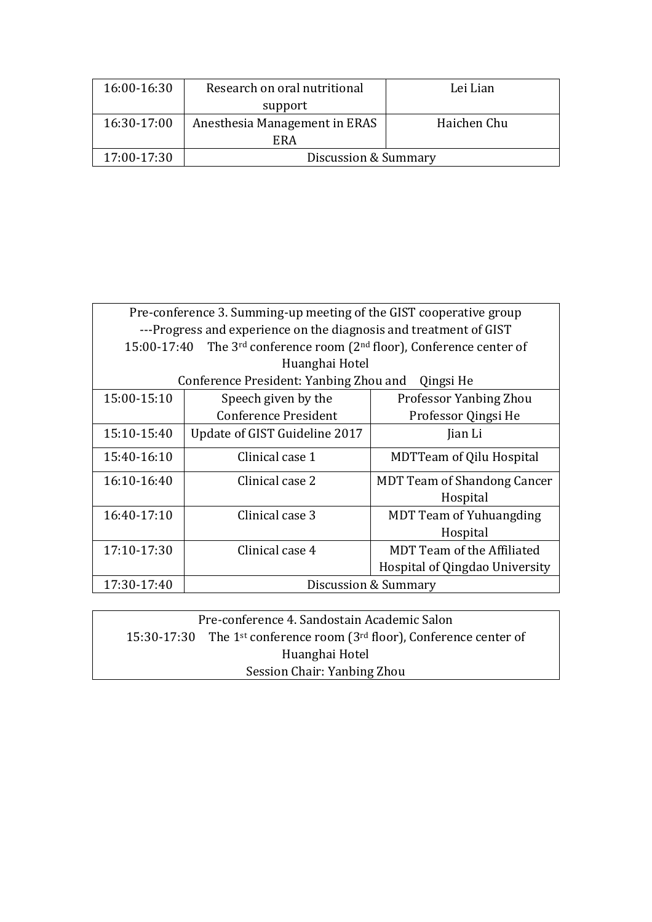| 16:00-16:30 | Research on oral nutritional  | Lei Lian    |
|-------------|-------------------------------|-------------|
|             | support                       |             |
| 16:30-17:00 | Anesthesia Management in ERAS | Haichen Chu |
|             | ERA                           |             |
| 17:00-17:30 | Discussion & Summary          |             |

| Pre-conference 3. Summing-up meeting of the GIST cooperative group |                                                                      |                                    |  |
|--------------------------------------------------------------------|----------------------------------------------------------------------|------------------------------------|--|
| ---Progress and experience on the diagnosis and treatment of GIST  |                                                                      |                                    |  |
| 15:00-17:40                                                        | The $3^{rd}$ conference room ( $2^{nd}$ floor), Conference center of |                                    |  |
|                                                                    | Huanghai Hotel                                                       |                                    |  |
|                                                                    | Conference President: Yanbing Zhou and                               | Qingsi He                          |  |
| 15:00-15:10                                                        | Speech given by the                                                  | Professor Yanbing Zhou             |  |
|                                                                    | Conference President                                                 | Professor Qingsi He                |  |
| 15:10-15:40                                                        | Update of GIST Guideline 2017                                        | Jian Li                            |  |
| 15:40-16:10                                                        | Clinical case 1                                                      | <b>MDTTeam of Qilu Hospital</b>    |  |
| 16:10-16:40                                                        | Clinical case 2                                                      | <b>MDT Team of Shandong Cancer</b> |  |
|                                                                    |                                                                      | Hospital                           |  |
| 16:40-17:10                                                        | Clinical case 3                                                      | <b>MDT Team of Yuhuangding</b>     |  |
|                                                                    |                                                                      | Hospital                           |  |
| 17:10-17:30                                                        | Clinical case 4                                                      | MDT Team of the Affiliated         |  |
|                                                                    |                                                                      | Hospital of Qingdao University     |  |
| 17:30-17:40<br>Discussion & Summary                                |                                                                      |                                    |  |

| Pre-conference 4. Sandostain Academic Salon |                                                                                               |  |
|---------------------------------------------|-----------------------------------------------------------------------------------------------|--|
|                                             | 15:30-17:30 The 1 <sup>st</sup> conference room (3 <sup>rd</sup> floor), Conference center of |  |
| Huanghai Hotel                              |                                                                                               |  |
| Session Chair: Yanbing Zhou                 |                                                                                               |  |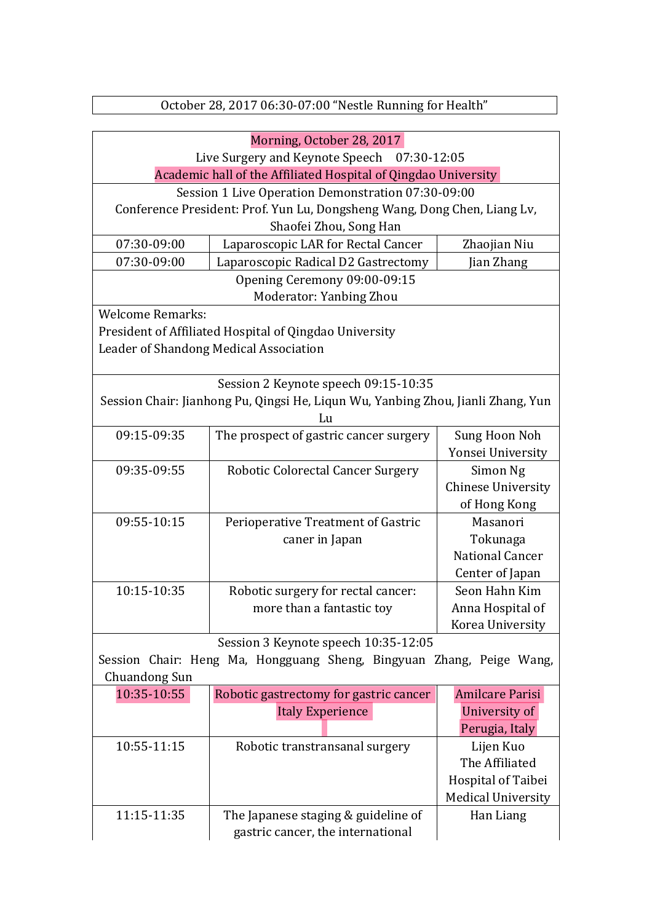| Morning, October 28, 2017                                      |                                                                                  |                                      |  |
|----------------------------------------------------------------|----------------------------------------------------------------------------------|--------------------------------------|--|
| Live Surgery and Keynote Speech 07:30-12:05                    |                                                                                  |                                      |  |
| Academic hall of the Affiliated Hospital of Qingdao University |                                                                                  |                                      |  |
|                                                                | Session 1 Live Operation Demonstration 07:30-09:00                               |                                      |  |
|                                                                | Conference President: Prof. Yun Lu, Dongsheng Wang, Dong Chen, Liang Lv,         |                                      |  |
|                                                                | Shaofei Zhou, Song Han                                                           |                                      |  |
| 07:30-09:00                                                    | Laparoscopic LAR for Rectal Cancer                                               | Zhaojian Niu                         |  |
| 07:30-09:00                                                    | Laparoscopic Radical D2 Gastrectomy                                              | Jian Zhang                           |  |
|                                                                | Opening Ceremony 09:00-09:15                                                     |                                      |  |
|                                                                | Moderator: Yanbing Zhou                                                          |                                      |  |
| <b>Welcome Remarks:</b>                                        |                                                                                  |                                      |  |
|                                                                | President of Affiliated Hospital of Qingdao University                           |                                      |  |
|                                                                | Leader of Shandong Medical Association                                           |                                      |  |
|                                                                |                                                                                  |                                      |  |
|                                                                | Session 2 Keynote speech 09:15-10:35                                             |                                      |  |
|                                                                | Session Chair: Jianhong Pu, Qingsi He, Liqun Wu, Yanbing Zhou, Jianli Zhang, Yun |                                      |  |
|                                                                | Lu                                                                               |                                      |  |
| 09:15-09:35                                                    | The prospect of gastric cancer surgery                                           | Sung Hoon Noh                        |  |
|                                                                |                                                                                  | Yonsei University                    |  |
| 09:35-09:55                                                    | <b>Robotic Colorectal Cancer Surgery</b>                                         | Simon Ng                             |  |
|                                                                |                                                                                  | <b>Chinese University</b>            |  |
|                                                                |                                                                                  | of Hong Kong                         |  |
| 09:55-10:15                                                    | Perioperative Treatment of Gastric                                               | Masanori                             |  |
|                                                                | caner in Japan                                                                   | Tokunaga                             |  |
|                                                                |                                                                                  | <b>National Cancer</b>               |  |
|                                                                |                                                                                  | Center of Japan                      |  |
| 10:15-10:35                                                    | Robotic surgery for rectal cancer:                                               | Seon Hahn Kim                        |  |
|                                                                | more than a fantastic toy                                                        | Anna Hospital of                     |  |
|                                                                |                                                                                  | Korea University                     |  |
|                                                                | Session 3 Keynote speech 10:35-12:05                                             |                                      |  |
|                                                                | Session Chair: Heng Ma, Hongguang Sheng, Bingyuan Zhang, Peige Wang,             |                                      |  |
| Chuandong Sun                                                  |                                                                                  |                                      |  |
| 10:35-10:55                                                    | Robotic gastrectomy for gastric cancer                                           | <b>Amilcare Parisi</b>               |  |
|                                                                | <b>Italy Experience</b>                                                          | University of                        |  |
|                                                                |                                                                                  | Perugia, Italy                       |  |
| 10:55-11:15                                                    | Robotic transtransanal surgery                                                   | Lijen Kuo                            |  |
|                                                                |                                                                                  | The Affiliated<br>Hospital of Taibei |  |
|                                                                |                                                                                  |                                      |  |
|                                                                |                                                                                  | <b>Medical University</b>            |  |
| 11:15-11:35                                                    | The Japanese staging & guideline of                                              | Han Liang                            |  |
|                                                                | gastric cancer, the international                                                |                                      |  |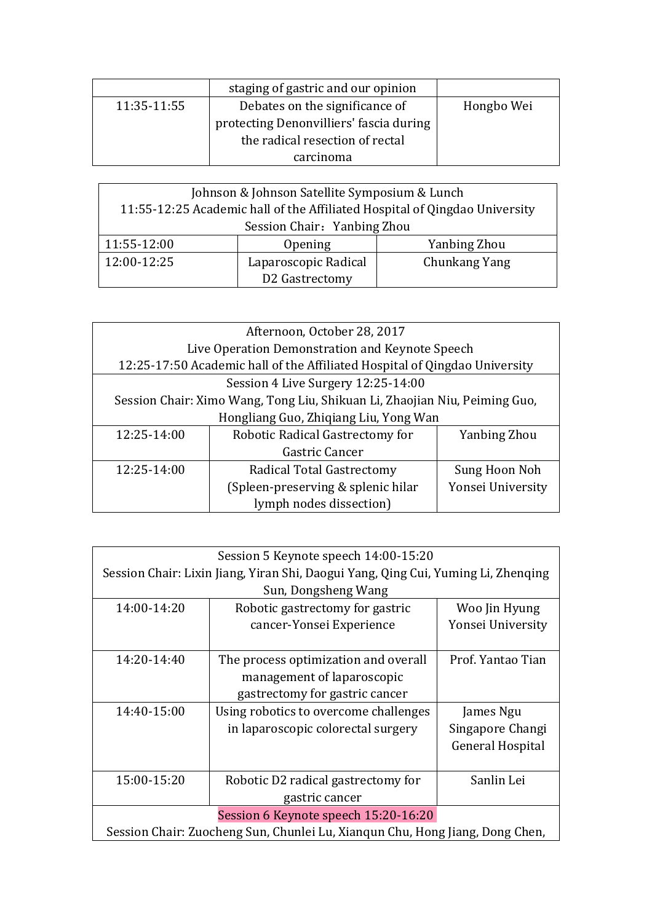|             | staging of gastric and our opinion      |            |
|-------------|-----------------------------------------|------------|
| 11:35-11:55 | Debates on the significance of          | Hongbo Wei |
|             | protecting Denonvilliers' fascia during |            |
|             | the radical resection of rectal         |            |
|             | carcinoma                               |            |

| Johnson & Johnson Satellite Symposium & Lunch                              |                      |               |  |
|----------------------------------------------------------------------------|----------------------|---------------|--|
| 11:55-12:25 Academic hall of the Affiliated Hospital of Qingdao University |                      |               |  |
| Session Chair: Yanbing Zhou                                                |                      |               |  |
| 11:55-12:00                                                                | Opening              | Yanbing Zhou  |  |
| 12:00-12:25                                                                | Laparoscopic Radical | Chunkang Yang |  |
|                                                                            | D2 Gastrectomy       |               |  |

| Afternoon, October 28, 2017                               |                                                                            |                     |  |  |
|-----------------------------------------------------------|----------------------------------------------------------------------------|---------------------|--|--|
|                                                           | Live Operation Demonstration and Keynote Speech                            |                     |  |  |
|                                                           | 12:25-17:50 Academic hall of the Affiliated Hospital of Qingdao University |                     |  |  |
|                                                           | Session 4 Live Surgery 12:25-14:00                                         |                     |  |  |
|                                                           | Session Chair: Ximo Wang, Tong Liu, Shikuan Li, Zhaojian Niu, Peiming Guo, |                     |  |  |
|                                                           | Hongliang Guo, Zhiqiang Liu, Yong Wan                                      |                     |  |  |
| 12:25-14:00                                               | Robotic Radical Gastrectomy for                                            | <b>Yanbing Zhou</b> |  |  |
|                                                           | Gastric Cancer                                                             |                     |  |  |
| 12:25-14:00<br>Radical Total Gastrectomy<br>Sung Hoon Noh |                                                                            |                     |  |  |
|                                                           | (Spleen-preserving & splenic hilar)                                        | Yonsei University   |  |  |
| lymph nodes dissection)                                   |                                                                            |                     |  |  |

| Session 5 Keynote speech 14:00-15:20                                              |                                       |                         |  |
|-----------------------------------------------------------------------------------|---------------------------------------|-------------------------|--|
| Session Chair: Lixin Jiang, Yiran Shi, Daogui Yang, Qing Cui, Yuming Li, Zhenging |                                       |                         |  |
| Sun, Dongsheng Wang                                                               |                                       |                         |  |
| 14:00-14:20                                                                       | Robotic gastrectomy for gastric       | Woo Jin Hyung           |  |
|                                                                                   | cancer-Yonsei Experience              | Yonsei University       |  |
|                                                                                   |                                       |                         |  |
| 14:20-14:40                                                                       | The process optimization and overall  | Prof. Yantao Tian       |  |
|                                                                                   | management of laparoscopic            |                         |  |
|                                                                                   | gastrectomy for gastric cancer        |                         |  |
| 14:40-15:00                                                                       | Using robotics to overcome challenges | James Ngu               |  |
|                                                                                   | in laparoscopic colorectal surgery    | Singapore Changi        |  |
|                                                                                   |                                       | <b>General Hospital</b> |  |
|                                                                                   |                                       |                         |  |
| 15:00-15:20                                                                       | Robotic D2 radical gastrectomy for    | Sanlin Lei              |  |
|                                                                                   | gastric cancer                        |                         |  |
| Session 6 Keynote speech 15:20-16:20                                              |                                       |                         |  |
| Session Chair: Zuocheng Sun, Chunlei Lu, Xiangun Chu, Hong Jiang, Dong Chen,      |                                       |                         |  |